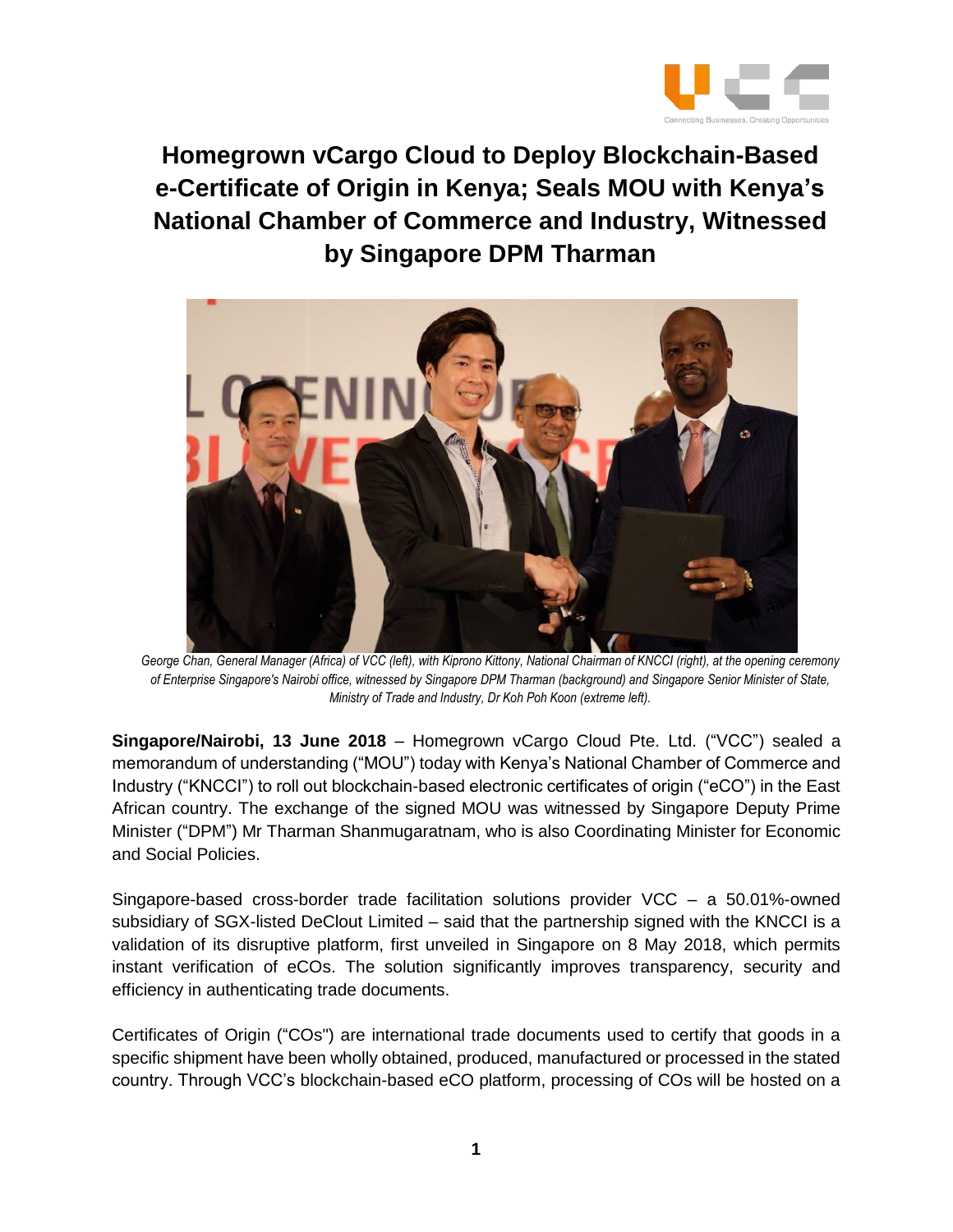

**Homegrown vCargo Cloud to Deploy Blockchain-Based e-Certificate of Origin in Kenya; Seals MOU with Kenya's National Chamber of Commerce and Industry, Witnessed by Singapore DPM Tharman**



George Chan, General Manager (Africa) of VCC (left), with Kiprono Kittony, National Chairman of KNCCI (right), at the opening ceremony *of Enterprise Singapore's Nairobi office, witnessed by Singapore DPM Tharman (background) and Singapore Senior Minister of State, Ministry of Trade and Industry, Dr Koh Poh Koon (extreme left).*

**Singapore/Nairobi, 13 June 2018** – Homegrown vCargo Cloud Pte. Ltd. ("VCC") sealed a memorandum of understanding ("MOU") today with Kenya's National Chamber of Commerce and Industry ("KNCCI") to roll out blockchain-based electronic certificates of origin ("eCO") in the East African country. The exchange of the signed MOU was witnessed by Singapore Deputy Prime Minister ("DPM") Mr Tharman Shanmugaratnam, who is also Coordinating Minister for Economic and Social Policies.

Singapore-based cross-border trade facilitation solutions provider VCC – a 50.01%-owned subsidiary of SGX-listed DeClout Limited – said that the partnership signed with the KNCCI is a validation of its disruptive platform, first unveiled in Singapore on 8 May 2018, which permits instant verification of eCOs. The solution significantly improves transparency, security and efficiency in authenticating trade documents.

Certificates of Origin ("COs") are international trade documents used to certify that goods in a specific shipment have been wholly obtained, produced, manufactured or processed in the stated country. Through VCC's blockchain-based eCO platform, processing of COs will be hosted on a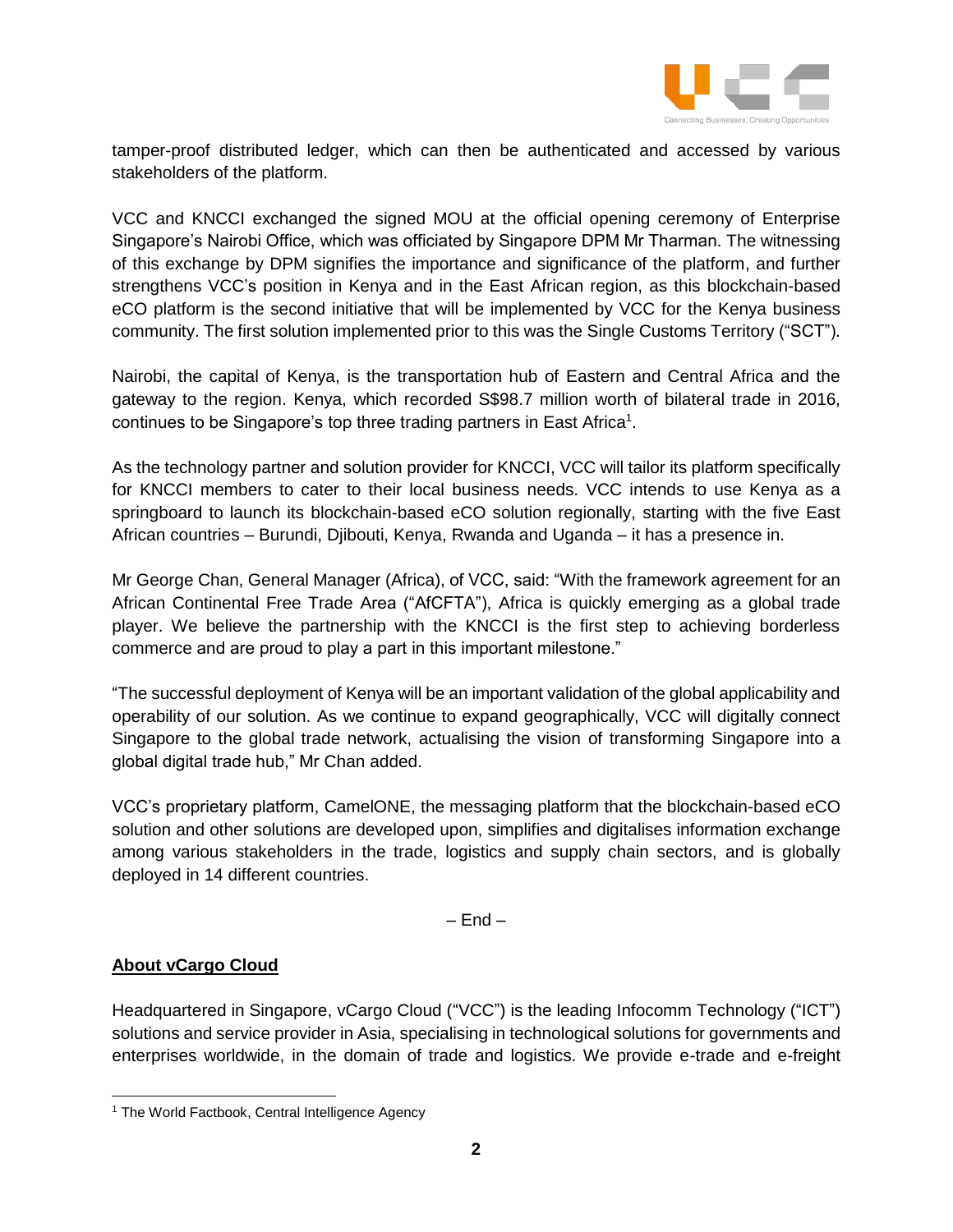

tamper-proof distributed ledger, which can then be authenticated and accessed by various stakeholders of the platform.

VCC and KNCCI exchanged the signed MOU at the official opening ceremony of Enterprise Singapore's Nairobi Office, which was officiated by Singapore DPM Mr Tharman. The witnessing of this exchange by DPM signifies the importance and significance of the platform, and further strengthens VCC's position in Kenya and in the East African region, as this blockchain-based eCO platform is the second initiative that will be implemented by VCC for the Kenya business community. The first solution implemented prior to this was the Single Customs Territory ("SCT").

Nairobi, the capital of Kenya, is the transportation hub of Eastern and Central Africa and the gateway to the region. Kenya, which recorded S\$98.7 million worth of bilateral trade in 2016, continues to be Singapore's top three trading partners in East Africa<sup>1</sup>.

As the technology partner and solution provider for KNCCI, VCC will tailor its platform specifically for KNCCI members to cater to their local business needs. VCC intends to use Kenya as a springboard to launch its blockchain-based eCO solution regionally, starting with the five East African countries – Burundi, Djibouti, Kenya, Rwanda and Uganda – it has a presence in.

Mr George Chan, General Manager (Africa), of VCC, said: "With the framework agreement for an African Continental Free Trade Area ("AfCFTA"), Africa is quickly emerging as a global trade player. We believe the partnership with the KNCCI is the first step to achieving borderless commerce and are proud to play a part in this important milestone."

"The successful deployment of Kenya will be an important validation of the global applicability and operability of our solution. As we continue to expand geographically, VCC will digitally connect Singapore to the global trade network, actualising the vision of transforming Singapore into a global digital trade hub," Mr Chan added.

VCC's proprietary platform, CamelONE, the messaging platform that the blockchain-based eCO solution and other solutions are developed upon, simplifies and digitalises information exchange among various stakeholders in the trade, logistics and supply chain sectors, and is globally deployed in 14 different countries.

 $-$  End  $-$ 

## **About vCargo Cloud**

 $\overline{a}$ 

Headquartered in Singapore, vCargo Cloud ("VCC") is the leading Infocomm Technology ("ICT") solutions and service provider in Asia, specialising in technological solutions for governments and enterprises worldwide, in the domain of trade and logistics. We provide e-trade and e-freight

<sup>&</sup>lt;sup>1</sup> The World Factbook, Central Intelligence Agency